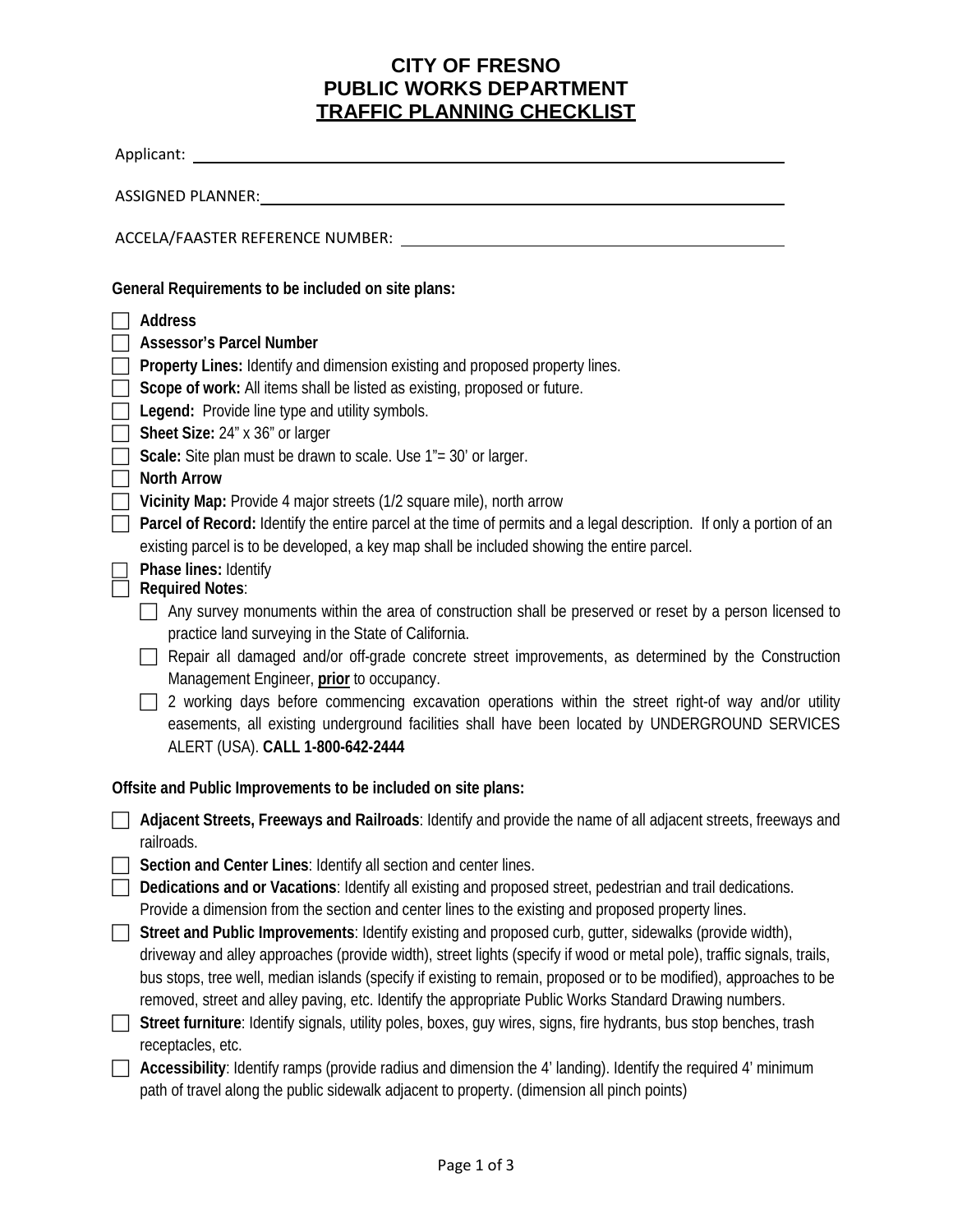## **CITY OF FRESNO PUBLIC WORKS DEPARTMENT TRAFFIC PLANNING CHECKLIST**

| Applicant: _                                                                                                                                                                                                                               |  |  |  |  |  |  |
|--------------------------------------------------------------------------------------------------------------------------------------------------------------------------------------------------------------------------------------------|--|--|--|--|--|--|
|                                                                                                                                                                                                                                            |  |  |  |  |  |  |
|                                                                                                                                                                                                                                            |  |  |  |  |  |  |
| General Requirements to be included on site plans:                                                                                                                                                                                         |  |  |  |  |  |  |
| <b>Address</b>                                                                                                                                                                                                                             |  |  |  |  |  |  |
| <b>Assessor's Parcel Number</b>                                                                                                                                                                                                            |  |  |  |  |  |  |
| Property Lines: Identify and dimension existing and proposed property lines.                                                                                                                                                               |  |  |  |  |  |  |
| Scope of work: All items shall be listed as existing, proposed or future.                                                                                                                                                                  |  |  |  |  |  |  |
| Legend: Provide line type and utility symbols.                                                                                                                                                                                             |  |  |  |  |  |  |
| Sheet Size: 24" x 36" or larger                                                                                                                                                                                                            |  |  |  |  |  |  |
| Scale: Site plan must be drawn to scale. Use 1"= 30' or larger.                                                                                                                                                                            |  |  |  |  |  |  |
| <b>North Arrow</b>                                                                                                                                                                                                                         |  |  |  |  |  |  |
| Vicinity Map: Provide 4 major streets (1/2 square mile), north arrow                                                                                                                                                                       |  |  |  |  |  |  |
| Parcel of Record: Identify the entire parcel at the time of permits and a legal description. If only a portion of an                                                                                                                       |  |  |  |  |  |  |
| existing parcel is to be developed, a key map shall be included showing the entire parcel.<br>Phase lines: Identify                                                                                                                        |  |  |  |  |  |  |
| <b>Required Notes:</b>                                                                                                                                                                                                                     |  |  |  |  |  |  |
| Any survey monuments within the area of construction shall be preserved or reset by a person licensed to<br>practice land surveying in the State of California.                                                                            |  |  |  |  |  |  |
| Repair all damaged and/or off-grade concrete street improvements, as determined by the Construction<br>Management Engineer, prior to occupancy.                                                                                            |  |  |  |  |  |  |
| 2 working days before commencing excavation operations within the street right-of way and/or utility<br>easements, all existing underground facilities shall have been located by UNDERGROUND SERVICES<br>ALERT (USA). CALL 1-800-642-2444 |  |  |  |  |  |  |
| Offsite and Public Improvements to be included on site plans:                                                                                                                                                                              |  |  |  |  |  |  |
| Adjacent Streets, Freeways and Railroads: Identify and provide the name of all adjacent streets, freeways and<br>railroads.                                                                                                                |  |  |  |  |  |  |
| Section and Center Lines: Identify all section and center lines.                                                                                                                                                                           |  |  |  |  |  |  |
| Dedications and or Vacations: Identify all existing and proposed street, pedestrian and trail dedications.                                                                                                                                 |  |  |  |  |  |  |
| Provide a dimension from the section and center lines to the existing and proposed property lines.                                                                                                                                         |  |  |  |  |  |  |
| Street and Public Improvements: Identify existing and proposed curb, gutter, sidewalks (provide width),                                                                                                                                    |  |  |  |  |  |  |
| driveway and alley approaches (provide width), street lights (specify if wood or metal pole), traffic signals, trails,                                                                                                                     |  |  |  |  |  |  |
| bus stops, tree well, median islands (specify if existing to remain, proposed or to be modified), approaches to be                                                                                                                         |  |  |  |  |  |  |
| removed, street and alley paving, etc. Identify the appropriate Public Works Standard Drawing numbers.                                                                                                                                     |  |  |  |  |  |  |
| Street furniture: Identify signals, utility poles, boxes, guy wires, signs, fire hydrants, bus stop benches, trash                                                                                                                         |  |  |  |  |  |  |
| receptacles, etc.                                                                                                                                                                                                                          |  |  |  |  |  |  |
| Accessibility: Identify ramps (provide radius and dimension the 4' landing). Identify the required 4' minimum                                                                                                                              |  |  |  |  |  |  |

path of travel along the public sidewalk adjacent to property. (dimension all pinch points)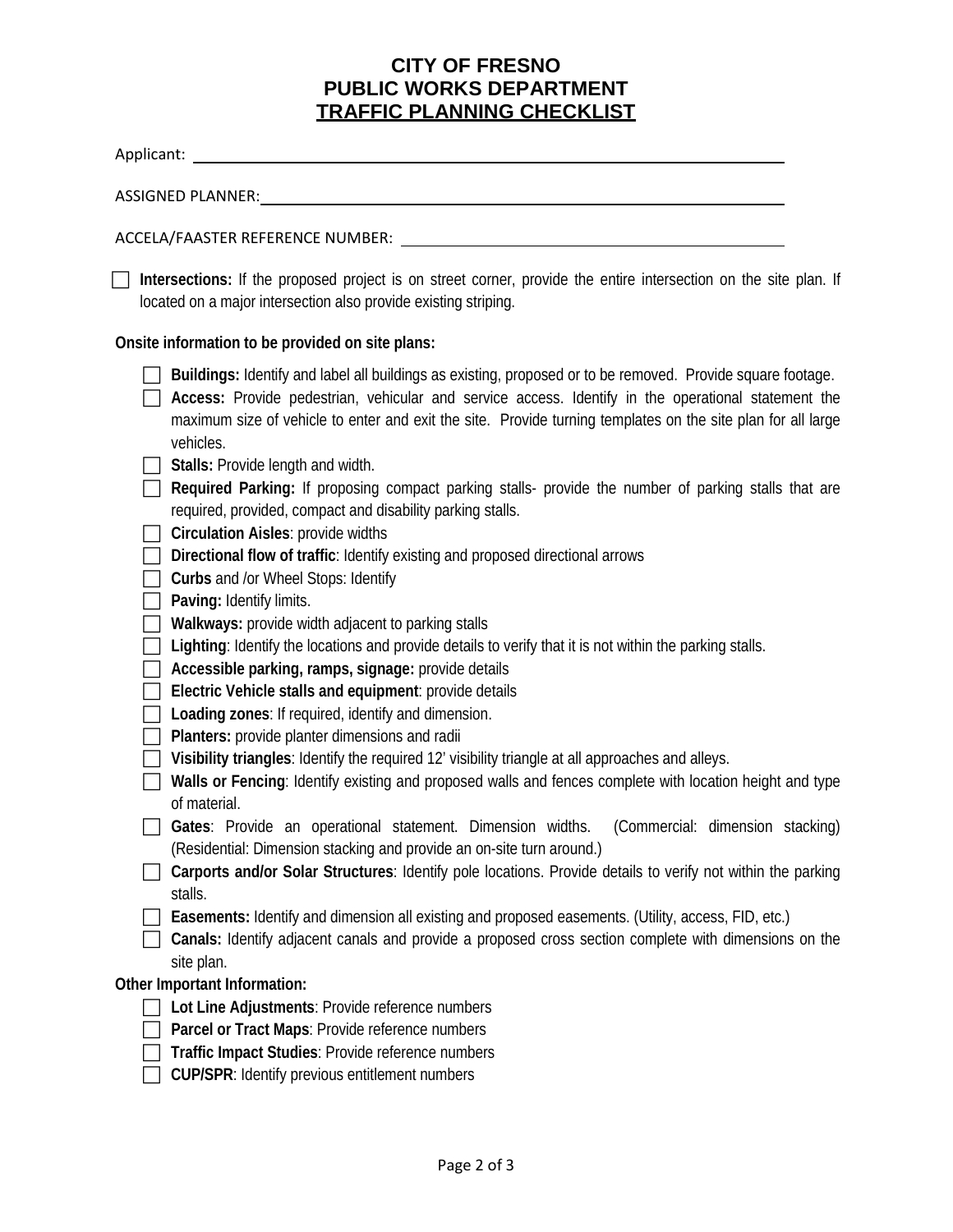## **CITY OF FRESNO PUBLIC WORKS DEPARTMENT TRAFFIC PLANNING CHECKLIST**

| Intersections: If the proposed project is on street corner, provide the entire intersection on the site plan. If<br>located on a major intersection also provide existing striping.                                                                                                                                                                                                                                                                                                          |
|----------------------------------------------------------------------------------------------------------------------------------------------------------------------------------------------------------------------------------------------------------------------------------------------------------------------------------------------------------------------------------------------------------------------------------------------------------------------------------------------|
| Onsite information to be provided on site plans:                                                                                                                                                                                                                                                                                                                                                                                                                                             |
| Buildings: Identify and label all buildings as existing, proposed or to be removed. Provide square footage.<br>Access: Provide pedestrian, vehicular and service access. Identify in the operational statement the<br>maximum size of vehicle to enter and exit the site. Provide turning templates on the site plan for all large<br>vehicles.<br>Stalls: Provide length and width.<br>Required Parking: If proposing compact parking stalls- provide the number of parking stalls that are |
| required, provided, compact and disability parking stalls.<br><b>Circulation Aisles: provide widths</b><br>Directional flow of traffic: Identify existing and proposed directional arrows<br>Curbs and /or Wheel Stops: Identify                                                                                                                                                                                                                                                             |
| Paving: Identify limits.<br>Walkways: provide width adjacent to parking stalls<br>Lighting: Identify the locations and provide details to verify that it is not within the parking stalls.<br>Accessible parking, ramps, signage: provide details<br>Electric Vehicle stalls and equipment: provide details<br>Loading zones: If required, identify and dimension.<br>Planters: provide planter dimensions and radii                                                                         |
| Visibility triangles: Identify the required 12' visibility triangle at all approaches and alleys.<br>Walls or Fencing: Identify existing and proposed walls and fences complete with location height and type<br>of material.                                                                                                                                                                                                                                                                |
| Gates: Provide an operational statement. Dimension widths.<br>(Commercial: dimension stacking)<br>(Residential: Dimension stacking and provide an on-site turn around.)                                                                                                                                                                                                                                                                                                                      |
| Carports and/or Solar Structures: Identify pole locations. Provide details to verify not within the parking<br>stalls.                                                                                                                                                                                                                                                                                                                                                                       |
| Easements: Identify and dimension all existing and proposed easements. (Utility, access, FID, etc.)<br>Canals: Identify adjacent canals and provide a proposed cross section complete with dimensions on the<br>site plan.                                                                                                                                                                                                                                                                   |
| Other Important Information:<br>Lot Line Adjustments: Provide reference numbers<br>Parcel or Tract Maps: Provide reference numbers<br>Traffic Impact Studies: Provide reference numbers<br>CUP/SPR: Identify previous entitlement numbers                                                                                                                                                                                                                                                    |